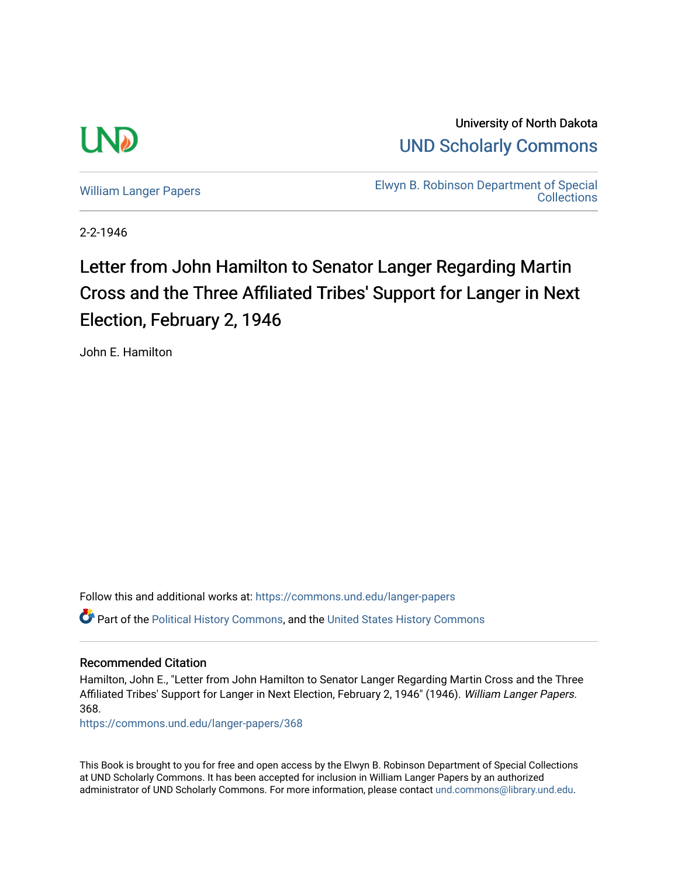

University of North Dakota [UND Scholarly Commons](https://commons.und.edu/) 

[William Langer Papers](https://commons.und.edu/langer-papers) **Elwyn B. Robinson Department of Special** [Collections](https://commons.und.edu/archives) 

2-2-1946

## Letter from John Hamilton to Senator Langer Regarding Martin Cross and the Three Affiliated Tribes' Support for Langer in Next Election, February 2, 1946

John E. Hamilton

Follow this and additional works at: [https://commons.und.edu/langer-papers](https://commons.und.edu/langer-papers?utm_source=commons.und.edu%2Flanger-papers%2F368&utm_medium=PDF&utm_campaign=PDFCoverPages)  Part of the [Political History Commons,](https://network.bepress.com/hgg/discipline/505?utm_source=commons.und.edu%2Flanger-papers%2F368&utm_medium=PDF&utm_campaign=PDFCoverPages) and the [United States History Commons](https://network.bepress.com/hgg/discipline/495?utm_source=commons.und.edu%2Flanger-papers%2F368&utm_medium=PDF&utm_campaign=PDFCoverPages)

### Recommended Citation

Hamilton, John E., "Letter from John Hamilton to Senator Langer Regarding Martin Cross and the Three Affiliated Tribes' Support for Langer in Next Election, February 2, 1946" (1946). William Langer Papers. 368.

[https://commons.und.edu/langer-papers/368](https://commons.und.edu/langer-papers/368?utm_source=commons.und.edu%2Flanger-papers%2F368&utm_medium=PDF&utm_campaign=PDFCoverPages) 

This Book is brought to you for free and open access by the Elwyn B. Robinson Department of Special Collections at UND Scholarly Commons. It has been accepted for inclusion in William Langer Papers by an authorized administrator of UND Scholarly Commons. For more information, please contact [und.commons@library.und.edu.](mailto:und.commons@library.und.edu)